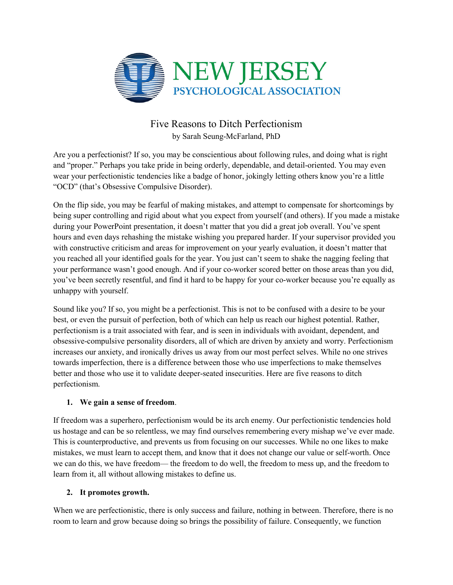

# Five Reasons to Ditch Perfectionism by Sarah Seung-McFarland, PhD

Are you a perfectionist? If so, you may be conscientious about following rules, and doing what is right and "proper." Perhaps you take pride in being orderly, dependable, and detail-oriented. You may even wear your perfectionistic tendencies like a badge of honor, jokingly letting others know you're a little "OCD" (that's Obsessive Compulsive Disorder).

On the flip side, you may be fearful of making mistakes, and attempt to compensate for shortcomings by being super controlling and rigid about what you expect from yourself (and others). If you made a mistake during your PowerPoint presentation, it doesn't matter that you did a great job overall. You've spent hours and even days rehashing the mistake wishing you prepared harder. If your supervisor provided you with constructive criticism and areas for improvement on your yearly evaluation, it doesn't matter that you reached all your identified goals for the year. You just can't seem to shake the nagging feeling that your performance wasn't good enough. And if your co-worker scored better on those areas than you did, you've been secretly resentful, and find it hard to be happy for your co-worker because you're equally as unhappy with yourself.

Sound like you? If so, you might be a perfectionist. This is not to be confused with a desire to be your best, or even the pursuit of perfection, both of which can help us reach our highest potential. Rather, perfectionism is a trait associated with fear, and is seen in individuals with avoidant, dependent, and obsessive-compulsive personality disorders, all of which are driven by anxiety and worry. Perfectionism increases our anxiety, and ironically drives us away from our most perfect selves. While no one strives towards imperfection, there is a difference between those who use imperfections to make themselves better and those who use it to validate deeper-seated insecurities. Here are five reasons to ditch perfectionism.

### **1. We gain a sense of freedom**.

If freedom was a superhero, perfectionism would be its arch enemy. Our perfectionistic tendencies hold us hostage and can be so relentless, we may find ourselves remembering every mishap we've ever made. This is counterproductive, and prevents us from focusing on our successes. While no one likes to make mistakes, we must learn to accept them, and know that it does not change our value or self-worth. Once we can do this, we have freedom— the freedom to do well, the freedom to mess up, and the freedom to learn from it, all without allowing mistakes to define us.

### **2. It promotes growth.**

When we are perfectionistic, there is only success and failure, nothing in between. Therefore, there is no room to learn and grow because doing so brings the possibility of failure. Consequently, we function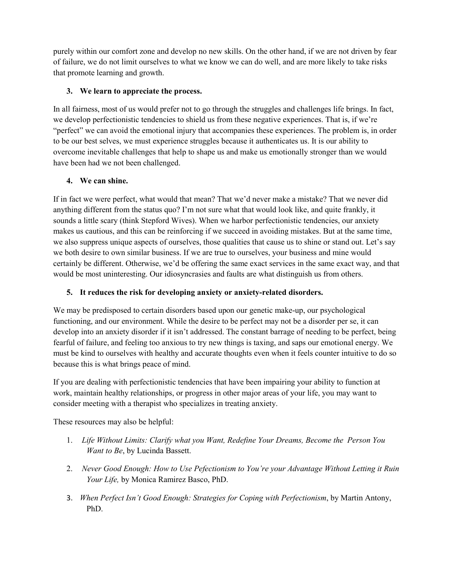purely within our comfort zone and develop no new skills. On the other hand, if we are not driven by fear of failure, we do not limit ourselves to what we know we can do well, and are more likely to take risks that promote learning and growth.

## **3. We learn to appreciate the process.**

In all fairness, most of us would prefer not to go through the struggles and challenges life brings. In fact, we develop perfectionistic tendencies to shield us from these negative experiences. That is, if we're "perfect" we can avoid the emotional injury that accompanies these experiences. The problem is, in order to be our best selves, we must experience struggles because it authenticates us. It is our ability to overcome inevitable challenges that help to shape us and make us emotionally stronger than we would have been had we not been challenged.

# **4. We can shine.**

If in fact we were perfect, what would that mean? That we'd never make a mistake? That we never did anything different from the status quo? I'm not sure what that would look like, and quite frankly, it sounds a little scary (think Stepford Wives). When we harbor perfectionistic tendencies, our anxiety makes us cautious, and this can be reinforcing if we succeed in avoiding mistakes. But at the same time, we also suppress unique aspects of ourselves, those qualities that cause us to shine or stand out. Let's say we both desire to own similar business. If we are true to ourselves, your business and mine would certainly be different. Otherwise, we'd be offering the same exact services in the same exact way, and that would be most uninteresting. Our idiosyncrasies and faults are what distinguish us from others.

# **5. It reduces the risk for developing anxiety or anxiety-related disorders.**

We may be predisposed to certain disorders based upon our genetic make-up, our psychological functioning, and our environment. While the desire to be perfect may not be a disorder per se, it can develop into an anxiety disorder if it isn't addressed. The constant barrage of needing to be perfect, being fearful of failure, and feeling too anxious to try new things is taxing, and saps our emotional energy. We must be kind to ourselves with healthy and accurate thoughts even when it feels counter intuitive to do so because this is what brings peace of mind.

If you are dealing with perfectionistic tendencies that have been impairing your ability to function at work, maintain healthy relationships, or progress in other major areas of your life, you may want to consider meeting with a therapist who specializes in treating anxiety.

These resources may also be helpful:

- 1. *Life Without Limits: Clarify what you Want, Redefine Your Dreams, Become the Person You Want to Be*, by Lucinda Bassett.
- 2. *Never Good Enough: How to Use Pefectionism to You're your Advantage Without Letting it Ruin Your Life,* by Monica Ramirez Basco, PhD.
- 3. *When Perfect Isn't Good Enough: Strategies for Coping with Perfectionism*, by Martin Antony, PhD.